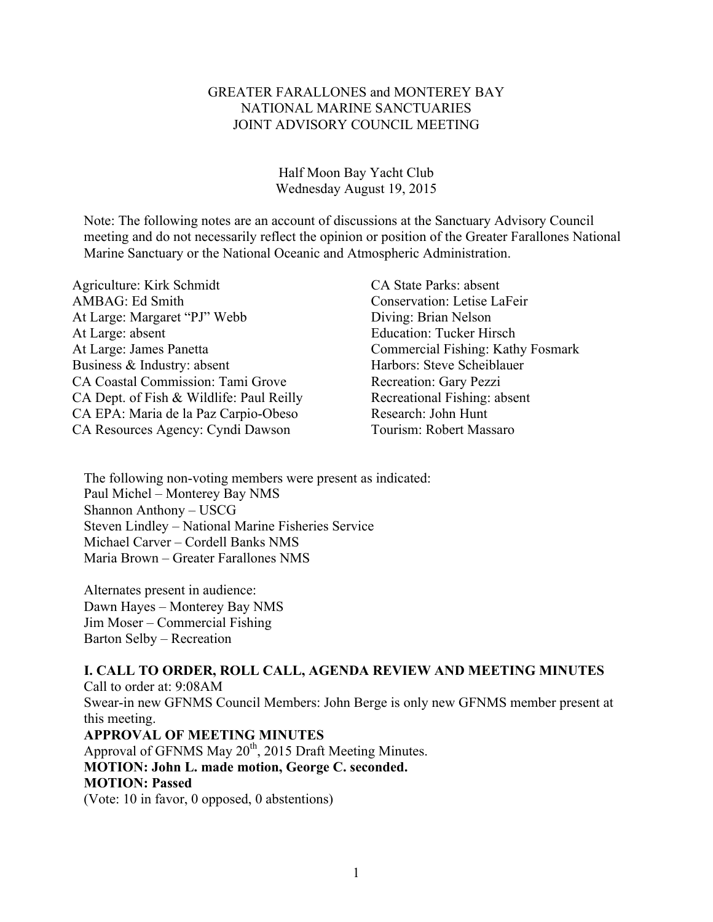### GREATER FARALLONES and MONTEREY BAY NATIONAL MARINE SANCTUARIES JOINT ADVISORY COUNCIL MEETING

Half Moon Bay Yacht Club Wednesday August 19, 2015

Note: The following notes are an account of discussions at the Sanctuary Advisory Council meeting and do not necessarily reflect the opinion or position of the Greater Farallones National Marine Sanctuary or the National Oceanic and Atmospheric Administration.

Agriculture: Kirk Schmidt CA State Parks: absent AMBAG: Ed Smith Conservation: Letise LaFeir At Large: Margaret "PJ" Webb Diving: Brian Nelson At Large: absent Education: Tucker Hirsch At Large: James Panetta Commercial Fishing: Kathy Fosmark Business & Industry: absent Harbors: Steve Scheiblauer CA Coastal Commission: Tami Grove Recreation: Gary Pezzi CA Dept. of Fish & Wildlife: Paul Reilly Recreational Fishing: absent CA EPA: Maria de la Paz Carpio-Obeso Research: John Hunt CA Resources Agency: Cyndi Dawson Tourism: Robert Massaro

The following non-voting members were present as indicated: Paul Michel – Monterey Bay NMS Shannon Anthony – USCG Steven Lindley – National Marine Fisheries Service Michael Carver – Cordell Banks NMS Maria Brown – Greater Farallones NMS

Alternates present in audience: Dawn Hayes – Monterey Bay NMS Jim Moser – Commercial Fishing Barton Selby – Recreation

**I. CALL TO ORDER, ROLL CALL, AGENDA REVIEW AND MEETING MINUTES** Call to order at: 9:08AM Swear-in new GFNMS Council Members: John Berge is only new GFNMS member present at this meeting. **APPROVAL OF MEETING MINUTES** Approval of GFNMS May  $20^{th}$ , 2015 Draft Meeting Minutes. **MOTION: John L. made motion, George C. seconded. MOTION: Passed**

(Vote: 10 in favor, 0 opposed, 0 abstentions)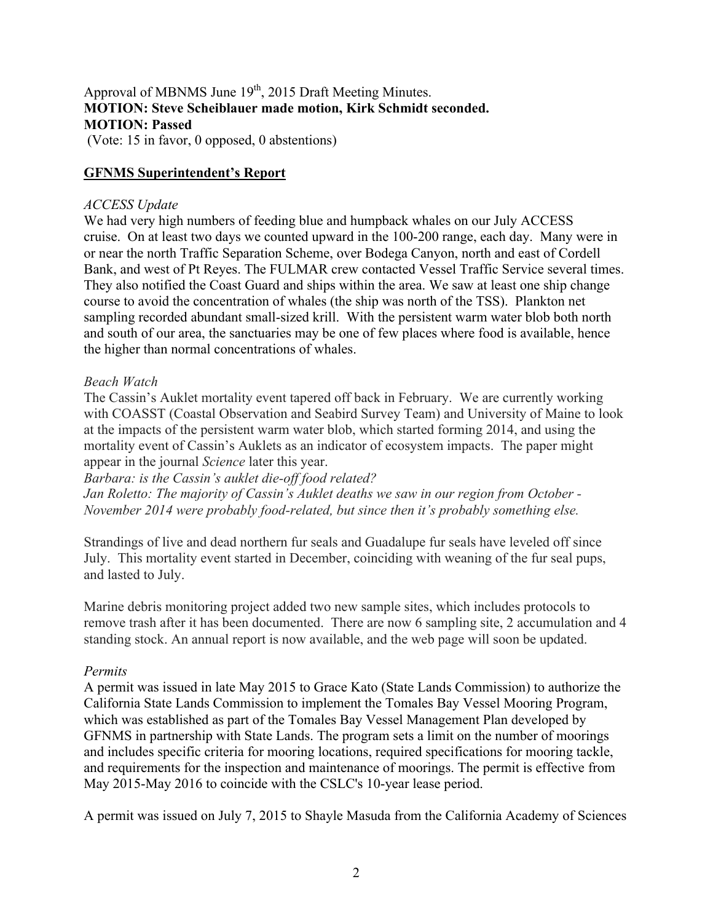# Approval of MBNMS June 19<sup>th</sup>, 2015 Draft Meeting Minutes. **MOTION: Steve Scheiblauer made motion, Kirk Schmidt seconded. MOTION: Passed**

(Vote: 15 in favor, 0 opposed, 0 abstentions)

### **GFNMS Superintendent's Report**

### *ACCESS Update*

We had very high numbers of feeding blue and humpback whales on our July ACCESS cruise. On at least two days we counted upward in the 100-200 range, each day. Many were in or near the north Traffic Separation Scheme, over Bodega Canyon, north and east of Cordell Bank, and west of Pt Reyes. The FULMAR crew contacted Vessel Traffic Service several times. They also notified the Coast Guard and ships within the area. We saw at least one ship change course to avoid the concentration of whales (the ship was north of the TSS). Plankton net sampling recorded abundant small-sized krill. With the persistent warm water blob both north and south of our area, the sanctuaries may be one of few places where food is available, hence the higher than normal concentrations of whales.

### *Beach Watch*

The Cassin's Auklet mortality event tapered off back in February. We are currently working with COASST (Coastal Observation and Seabird Survey Team) and University of Maine to look at the impacts of the persistent warm water blob, which started forming 2014, and using the mortality event of Cassin's Auklets as an indicator of ecosystem impacts. The paper might appear in the journal *Science* later this year.

*Barbara: is the Cassin's auklet die-off food related? Jan Roletto: The majority of Cassin's Auklet deaths we saw in our region from October - November 2014 were probably food-related, but since then it's probably something else.*

Strandings of live and dead northern fur seals and Guadalupe fur seals have leveled off since July. This mortality event started in December, coinciding with weaning of the fur seal pups, and lasted to July.

Marine debris monitoring project added two new sample sites, which includes protocols to remove trash after it has been documented. There are now 6 sampling site, 2 accumulation and 4 standing stock. An annual report is now available, and the web page will soon be updated.

### *Permits*

A permit was issued in late May 2015 to Grace Kato (State Lands Commission) to authorize the California State Lands Commission to implement the Tomales Bay Vessel Mooring Program, which was established as part of the Tomales Bay Vessel Management Plan developed by GFNMS in partnership with State Lands. The program sets a limit on the number of moorings and includes specific criteria for mooring locations, required specifications for mooring tackle, and requirements for the inspection and maintenance of moorings. The permit is effective from May 2015-May 2016 to coincide with the CSLC's 10-year lease period.

A permit was issued on July 7, 2015 to Shayle Masuda from the California Academy of Sciences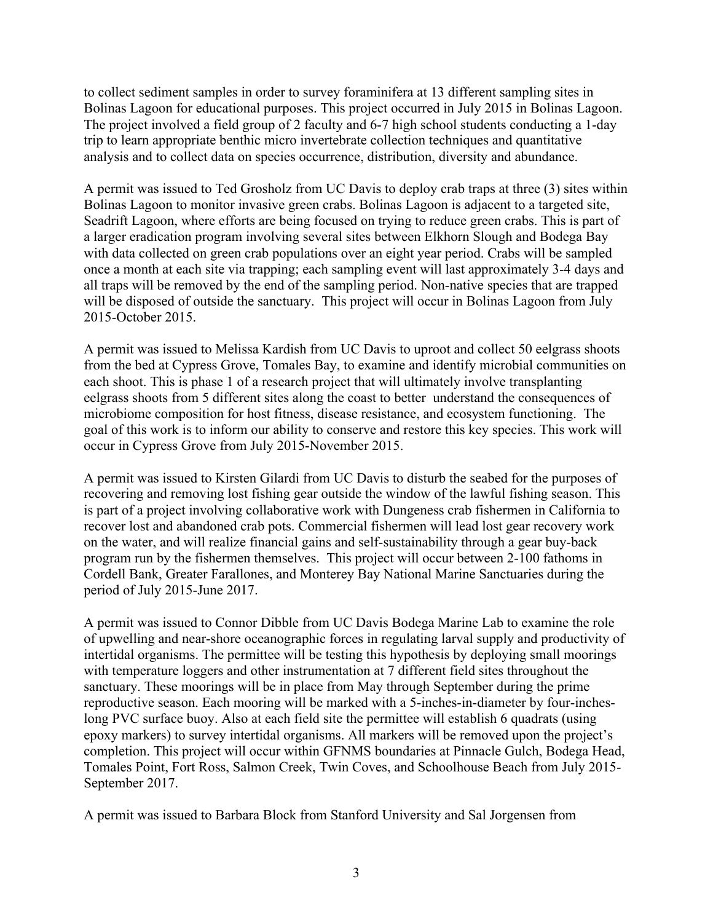to collect sediment samples in order to survey foraminifera at 13 different sampling sites in Bolinas Lagoon for educational purposes. This project occurred in July 2015 in Bolinas Lagoon. The project involved a field group of 2 faculty and 6-7 high school students conducting a 1-day trip to learn appropriate benthic micro invertebrate collection techniques and quantitative analysis and to collect data on species occurrence, distribution, diversity and abundance.

A permit was issued to Ted Grosholz from UC Davis to deploy crab traps at three (3) sites within Bolinas Lagoon to monitor invasive green crabs. Bolinas Lagoon is adjacent to a targeted site, Seadrift Lagoon, where efforts are being focused on trying to reduce green crabs. This is part of a larger eradication program involving several sites between Elkhorn Slough and Bodega Bay with data collected on green crab populations over an eight year period. Crabs will be sampled once a month at each site via trapping; each sampling event will last approximately 3-4 days and all traps will be removed by the end of the sampling period. Non-native species that are trapped will be disposed of outside the sanctuary. This project will occur in Bolinas Lagoon from July 2015-October 2015.

A permit was issued to Melissa Kardish from UC Davis to uproot and collect 50 eelgrass shoots from the bed at Cypress Grove, Tomales Bay, to examine and identify microbial communities on each shoot. This is phase 1 of a research project that will ultimately involve transplanting eelgrass shoots from 5 different sites along the coast to better understand the consequences of microbiome composition for host fitness, disease resistance, and ecosystem functioning. The goal of this work is to inform our ability to conserve and restore this key species. This work will occur in Cypress Grove from July 2015-November 2015.

A permit was issued to Kirsten Gilardi from UC Davis to disturb the seabed for the purposes of recovering and removing lost fishing gear outside the window of the lawful fishing season. This is part of a project involving collaborative work with Dungeness crab fishermen in California to recover lost and abandoned crab pots. Commercial fishermen will lead lost gear recovery work on the water, and will realize financial gains and self-sustainability through a gear buy-back program run by the fishermen themselves. This project will occur between 2-100 fathoms in Cordell Bank, Greater Farallones, and Monterey Bay National Marine Sanctuaries during the period of July 2015-June 2017.

A permit was issued to Connor Dibble from UC Davis Bodega Marine Lab to examine the role of upwelling and near-shore oceanographic forces in regulating larval supply and productivity of intertidal organisms. The permittee will be testing this hypothesis by deploying small moorings with temperature loggers and other instrumentation at 7 different field sites throughout the sanctuary. These moorings will be in place from May through September during the prime reproductive season. Each mooring will be marked with a 5-inches-in-diameter by four-incheslong PVC surface buoy. Also at each field site the permittee will establish 6 quadrats (using epoxy markers) to survey intertidal organisms. All markers will be removed upon the project's completion. This project will occur within GFNMS boundaries at Pinnacle Gulch, Bodega Head, Tomales Point, Fort Ross, Salmon Creek, Twin Coves, and Schoolhouse Beach from July 2015- September 2017.

A permit was issued to Barbara Block from Stanford University and Sal Jorgensen from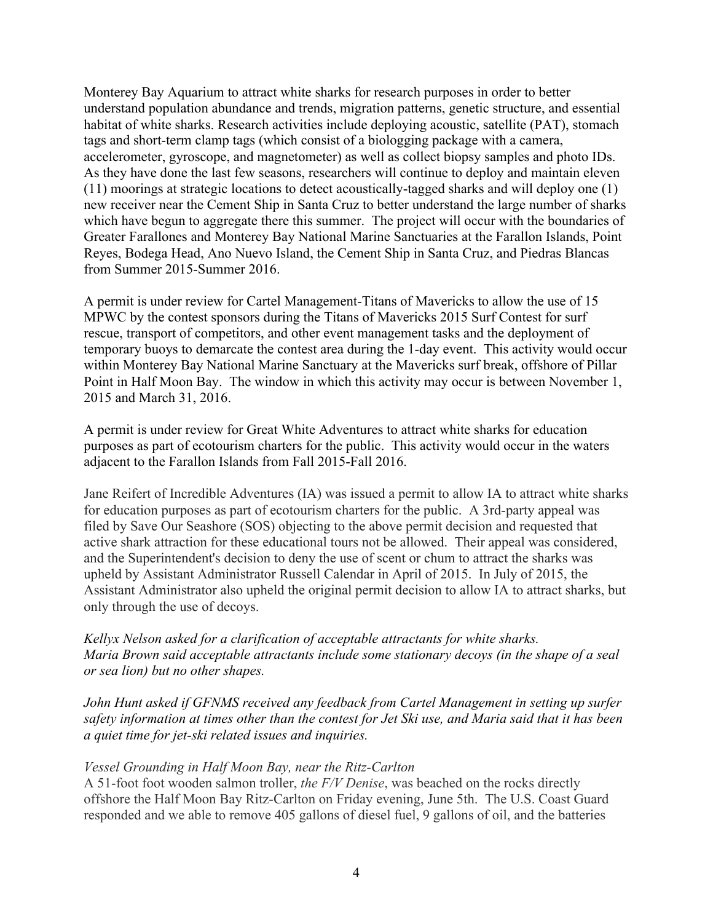Monterey Bay Aquarium to attract white sharks for research purposes in order to better understand population abundance and trends, migration patterns, genetic structure, and essential habitat of white sharks. Research activities include deploying acoustic, satellite (PAT), stomach tags and short-term clamp tags (which consist of a biologging package with a camera, accelerometer, gyroscope, and magnetometer) as well as collect biopsy samples and photo IDs. As they have done the last few seasons, researchers will continue to deploy and maintain eleven (11) moorings at strategic locations to detect acoustically-tagged sharks and will deploy one (1) new receiver near the Cement Ship in Santa Cruz to better understand the large number of sharks which have begun to aggregate there this summer. The project will occur with the boundaries of Greater Farallones and Monterey Bay National Marine Sanctuaries at the Farallon Islands, Point Reyes, Bodega Head, Ano Nuevo Island, the Cement Ship in Santa Cruz, and Piedras Blancas from Summer 2015-Summer 2016.

A permit is under review for Cartel Management-Titans of Mavericks to allow the use of 15 MPWC by the contest sponsors during the Titans of Mavericks 2015 Surf Contest for surf rescue, transport of competitors, and other event management tasks and the deployment of temporary buoys to demarcate the contest area during the 1-day event. This activity would occur within Monterey Bay National Marine Sanctuary at the Mavericks surf break, offshore of Pillar Point in Half Moon Bay. The window in which this activity may occur is between November 1, 2015 and March 31, 2016.

A permit is under review for Great White Adventures to attract white sharks for education purposes as part of ecotourism charters for the public. This activity would occur in the waters adjacent to the Farallon Islands from Fall 2015-Fall 2016.

Jane Reifert of Incredible Adventures (IA) was issued a permit to allow IA to attract white sharks for education purposes as part of ecotourism charters for the public. A 3rd-party appeal was filed by Save Our Seashore (SOS) objecting to the above permit decision and requested that active shark attraction for these educational tours not be allowed. Their appeal was considered, and the Superintendent's decision to deny the use of scent or chum to attract the sharks was upheld by Assistant Administrator Russell Calendar in April of 2015. In July of 2015, the Assistant Administrator also upheld the original permit decision to allow IA to attract sharks, but only through the use of decoys.

*Kellyx Nelson asked for a clarification of acceptable attractants for white sharks. Maria Brown said acceptable attractants include some stationary decoys (in the shape of a seal or sea lion) but no other shapes.*

*John Hunt asked if GFNMS received any feedback from Cartel Management in setting up surfer safety information at times other than the contest for Jet Ski use, and Maria said that it has been a quiet time for jet-ski related issues and inquiries.*

### *Vessel Grounding in Half Moon Bay, near the Ritz-Carlton*

A 51-foot foot wooden salmon troller, *the F/V Denise*, was beached on the rocks directly offshore the Half Moon Bay Ritz-Carlton on Friday evening, June 5th. The U.S. Coast Guard responded and we able to remove 405 gallons of diesel fuel, 9 gallons of oil, and the batteries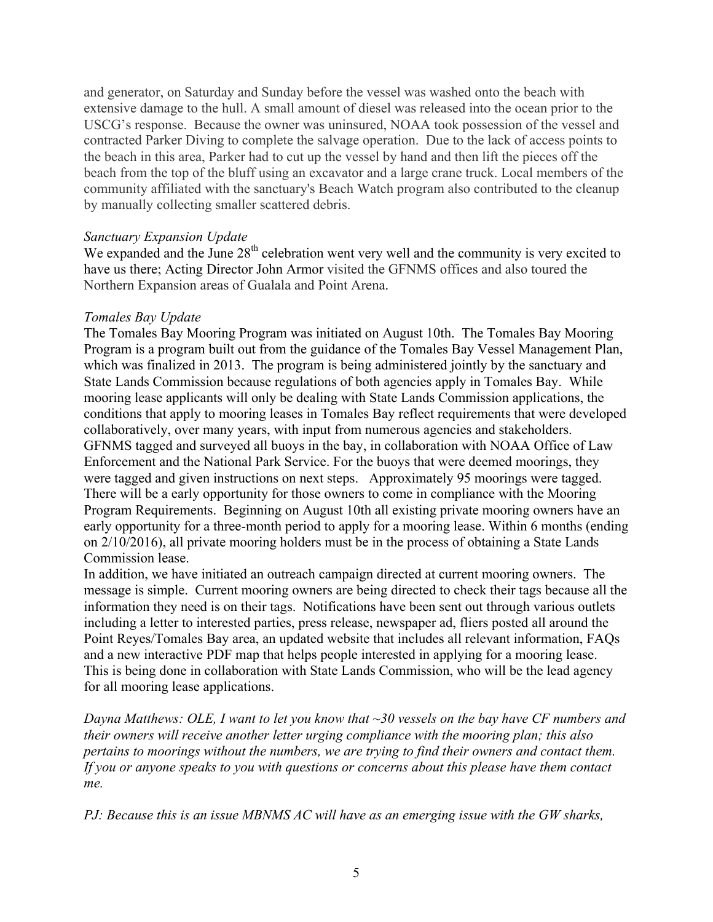and generator, on Saturday and Sunday before the vessel was washed onto the beach with extensive damage to the hull. A small amount of diesel was released into the ocean prior to the USCG's response. Because the owner was uninsured, NOAA took possession of the vessel and contracted Parker Diving to complete the salvage operation. Due to the lack of access points to the beach in this area, Parker had to cut up the vessel by hand and then lift the pieces off the beach from the top of the bluff using an excavator and a large crane truck. Local members of the community affiliated with the sanctuary's Beach Watch program also contributed to the cleanup by manually collecting smaller scattered debris.

#### *Sanctuary Expansion Update*

We expanded and the June  $28<sup>th</sup>$  celebration went very well and the community is very excited to have us there; Acting Director John Armor visited the GFNMS offices and also toured the Northern Expansion areas of Gualala and Point Arena.

### *Tomales Bay Update*

The Tomales Bay Mooring Program was initiated on August 10th. The Tomales Bay Mooring Program is a program built out from the guidance of the Tomales Bay Vessel Management Plan, which was finalized in 2013. The program is being administered jointly by the sanctuary and State Lands Commission because regulations of both agencies apply in Tomales Bay. While mooring lease applicants will only be dealing with State Lands Commission applications, the conditions that apply to mooring leases in Tomales Bay reflect requirements that were developed collaboratively, over many years, with input from numerous agencies and stakeholders. GFNMS tagged and surveyed all buoys in the bay, in collaboration with NOAA Office of Law Enforcement and the National Park Service. For the buoys that were deemed moorings, they were tagged and given instructions on next steps. Approximately 95 moorings were tagged. There will be a early opportunity for those owners to come in compliance with the Mooring Program Requirements. Beginning on August 10th all existing private mooring owners have an early opportunity for a three-month period to apply for a mooring lease. Within 6 months (ending on 2/10/2016), all private mooring holders must be in the process of obtaining a State Lands Commission lease.

In addition, we have initiated an outreach campaign directed at current mooring owners. The message is simple. Current mooring owners are being directed to check their tags because all the information they need is on their tags. Notifications have been sent out through various outlets including a letter to interested parties, press release, newspaper ad, fliers posted all around the Point Reyes/Tomales Bay area, an updated website that includes all relevant information, FAQs and a new interactive PDF map that helps people interested in applying for a mooring lease. This is being done in collaboration with State Lands Commission, who will be the lead agency for all mooring lease applications.

*Dayna Matthews: OLE, I want to let you know that ~30 vessels on the bay have CF numbers and their owners will receive another letter urging compliance with the mooring plan; this also pertains to moorings without the numbers, we are trying to find their owners and contact them. If you or anyone speaks to you with questions or concerns about this please have them contact me.*

*PJ: Because this is an issue MBNMS AC will have as an emerging issue with the GW sharks,*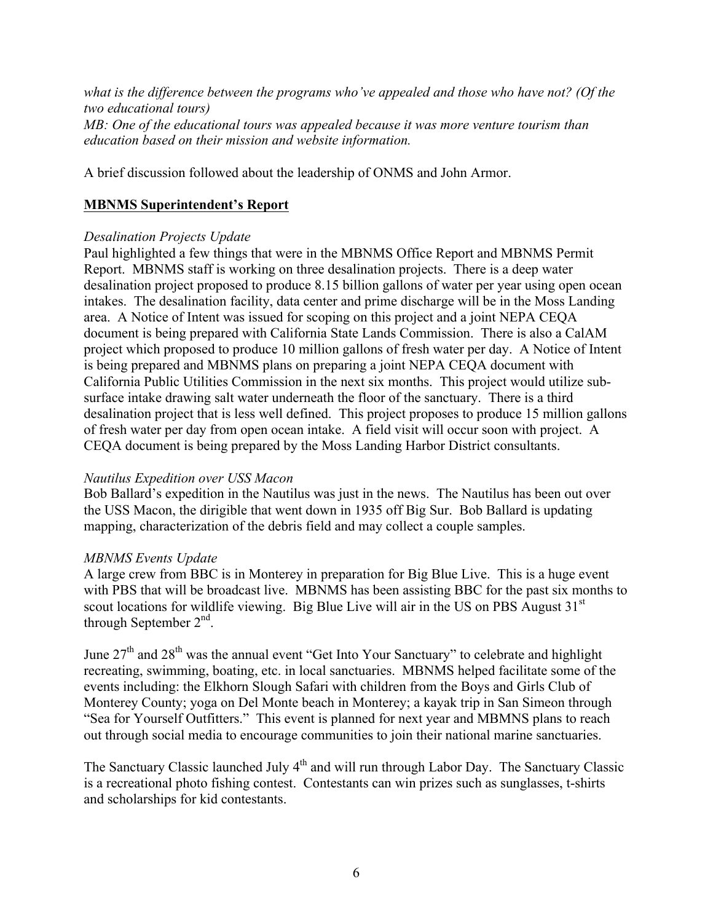*what is the difference between the programs who've appealed and those who have not? (Of the two educational tours) MB: One of the educational tours was appealed because it was more venture tourism than education based on their mission and website information.*

A brief discussion followed about the leadership of ONMS and John Armor.

# **MBNMS Superintendent's Report**

### *Desalination Projects Update*

Paul highlighted a few things that were in the MBNMS Office Report and MBNMS Permit Report. MBNMS staff is working on three desalination projects. There is a deep water desalination project proposed to produce 8.15 billion gallons of water per year using open ocean intakes. The desalination facility, data center and prime discharge will be in the Moss Landing area. A Notice of Intent was issued for scoping on this project and a joint NEPA CEQA document is being prepared with California State Lands Commission. There is also a CalAM project which proposed to produce 10 million gallons of fresh water per day. A Notice of Intent is being prepared and MBNMS plans on preparing a joint NEPA CEQA document with California Public Utilities Commission in the next six months. This project would utilize subsurface intake drawing salt water underneath the floor of the sanctuary. There is a third desalination project that is less well defined. This project proposes to produce 15 million gallons of fresh water per day from open ocean intake. A field visit will occur soon with project. A CEQA document is being prepared by the Moss Landing Harbor District consultants.

## *Nautilus Expedition over USS Macon*

Bob Ballard's expedition in the Nautilus was just in the news. The Nautilus has been out over the USS Macon, the dirigible that went down in 1935 off Big Sur. Bob Ballard is updating mapping, characterization of the debris field and may collect a couple samples.

### *MBNMS Events Update*

A large crew from BBC is in Monterey in preparation for Big Blue Live. This is a huge event with PBS that will be broadcast live. MBNMS has been assisting BBC for the past six months to scout locations for wildlife viewing. Big Blue Live will air in the US on PBS August  $31<sup>st</sup>$ through September  $2<sup>nd</sup>$ .

June  $27<sup>th</sup>$  and  $28<sup>th</sup>$  was the annual event "Get Into Your Sanctuary" to celebrate and highlight recreating, swimming, boating, etc. in local sanctuaries. MBNMS helped facilitate some of the events including: the Elkhorn Slough Safari with children from the Boys and Girls Club of Monterey County; yoga on Del Monte beach in Monterey; a kayak trip in San Simeon through "Sea for Yourself Outfitters." This event is planned for next year and MBMNS plans to reach out through social media to encourage communities to join their national marine sanctuaries.

The Sanctuary Classic launched July 4<sup>th</sup> and will run through Labor Day. The Sanctuary Classic is a recreational photo fishing contest. Contestants can win prizes such as sunglasses, t-shirts and scholarships for kid contestants.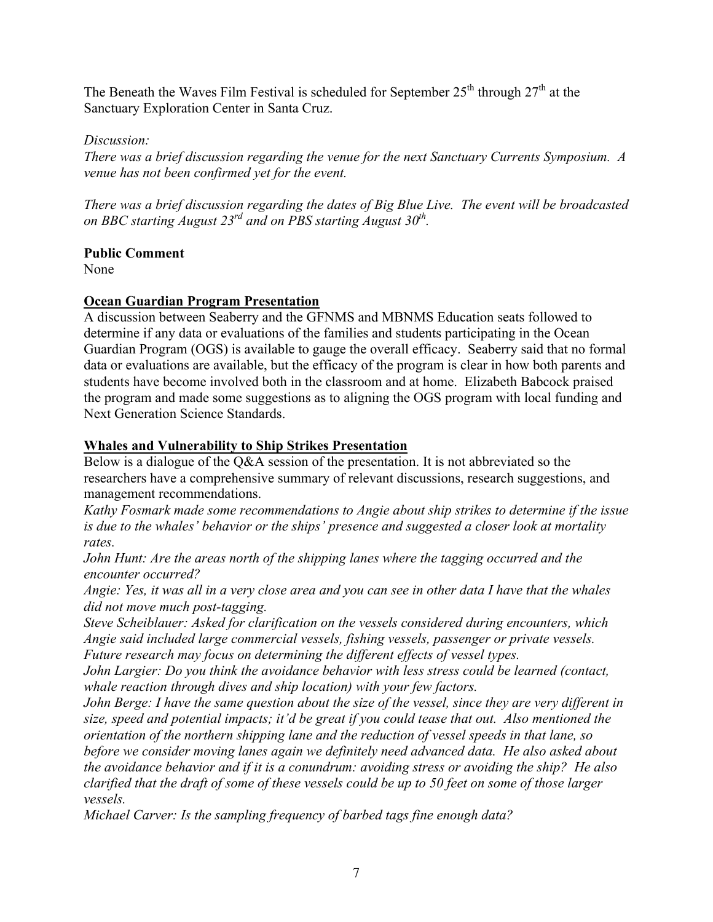The Beneath the Waves Film Festival is scheduled for September  $25<sup>th</sup>$  through  $27<sup>th</sup>$  at the Sanctuary Exploration Center in Santa Cruz.

# *Discussion:*

*There was a brief discussion regarding the venue for the next Sanctuary Currents Symposium. A venue has not been confirmed yet for the event.*

*There was a brief discussion regarding the dates of Big Blue Live. The event will be broadcasted on BBC starting August 23rd and on PBS starting August 30th.*

# **Public Comment**

None

# **Ocean Guardian Program Presentation**

A discussion between Seaberry and the GFNMS and MBNMS Education seats followed to determine if any data or evaluations of the families and students participating in the Ocean Guardian Program (OGS) is available to gauge the overall efficacy. Seaberry said that no formal data or evaluations are available, but the efficacy of the program is clear in how both parents and students have become involved both in the classroom and at home. Elizabeth Babcock praised the program and made some suggestions as to aligning the OGS program with local funding and Next Generation Science Standards.

# **Whales and Vulnerability to Ship Strikes Presentation**

Below is a dialogue of the Q&A session of the presentation. It is not abbreviated so the researchers have a comprehensive summary of relevant discussions, research suggestions, and management recommendations.

*Kathy Fosmark made some recommendations to Angie about ship strikes to determine if the issue is due to the whales' behavior or the ships' presence and suggested a closer look at mortality rates.*

*John Hunt: Are the areas north of the shipping lanes where the tagging occurred and the encounter occurred?* 

*Angie: Yes, it was all in a very close area and you can see in other data I have that the whales did not move much post-tagging.*

*Steve Scheiblauer: Asked for clarification on the vessels considered during encounters, which Angie said included large commercial vessels, fishing vessels, passenger or private vessels. Future research may focus on determining the different effects of vessel types.*

*John Largier: Do you think the avoidance behavior with less stress could be learned (contact, whale reaction through dives and ship location) with your few factors.*

*John Berge: I have the same question about the size of the vessel, since they are very different in size, speed and potential impacts; it'd be great if you could tease that out. Also mentioned the orientation of the northern shipping lane and the reduction of vessel speeds in that lane, so before we consider moving lanes again we definitely need advanced data. He also asked about the avoidance behavior and if it is a conundrum: avoiding stress or avoiding the ship? He also* 

*clarified that the draft of some of these vessels could be up to 50 feet on some of those larger vessels.*

*Michael Carver: Is the sampling frequency of barbed tags fine enough data?*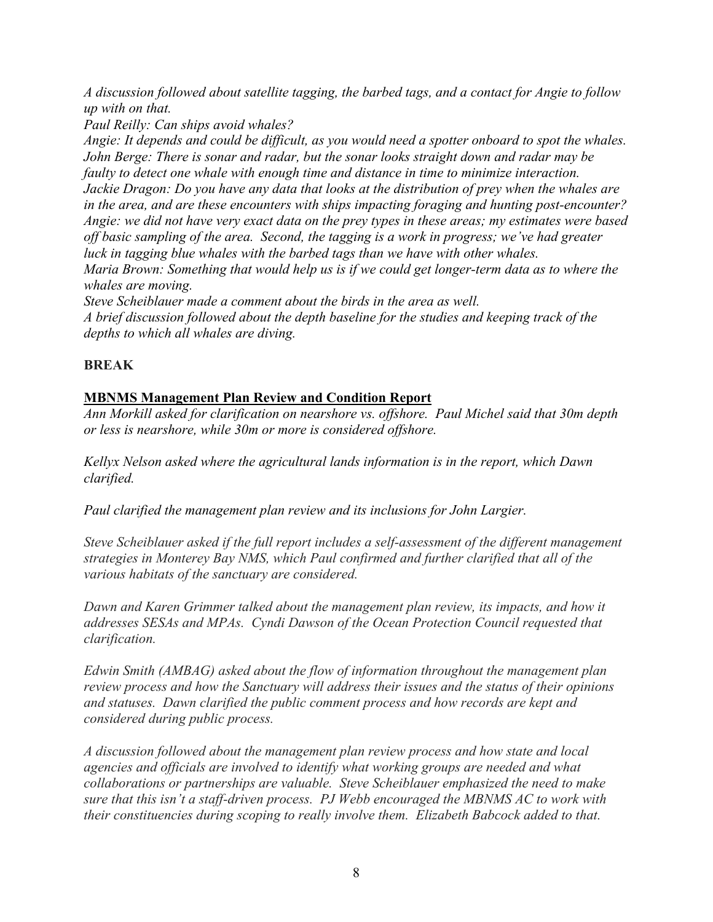*A discussion followed about satellite tagging, the barbed tags, and a contact for Angie to follow up with on that.*

*Paul Reilly: Can ships avoid whales?*

*Angie: It depends and could be difficult, as you would need a spotter onboard to spot the whales. John Berge: There is sonar and radar, but the sonar looks straight down and radar may be faulty to detect one whale with enough time and distance in time to minimize interaction. Jackie Dragon: Do you have any data that looks at the distribution of prey when the whales are in the area, and are these encounters with ships impacting foraging and hunting post-encounter? Angie: we did not have very exact data on the prey types in these areas; my estimates were based off basic sampling of the area. Second, the tagging is a work in progress; we've had greater luck in tagging blue whales with the barbed tags than we have with other whales. Maria Brown: Something that would help us is if we could get longer-term data as to where the whales are moving.*

*Steve Scheiblauer made a comment about the birds in the area as well.*

*A brief discussion followed about the depth baseline for the studies and keeping track of the depths to which all whales are diving.*

# **BREAK**

# **MBNMS Management Plan Review and Condition Report**

*Ann Morkill asked for clarification on nearshore vs. offshore. Paul Michel said that 30m depth or less is nearshore, while 30m or more is considered offshore.*

*Kellyx Nelson asked where the agricultural lands information is in the report, which Dawn clarified.*

*Paul clarified the management plan review and its inclusions for John Largier.*

*Steve Scheiblauer asked if the full report includes a self-assessment of the different management strategies in Monterey Bay NMS, which Paul confirmed and further clarified that all of the various habitats of the sanctuary are considered.*

*Dawn and Karen Grimmer talked about the management plan review, its impacts, and how it addresses SESAs and MPAs. Cyndi Dawson of the Ocean Protection Council requested that clarification.*

*Edwin Smith (AMBAG) asked about the flow of information throughout the management plan review process and how the Sanctuary will address their issues and the status of their opinions and statuses. Dawn clarified the public comment process and how records are kept and considered during public process.*

*A discussion followed about the management plan review process and how state and local agencies and officials are involved to identify what working groups are needed and what collaborations or partnerships are valuable. Steve Scheiblauer emphasized the need to make sure that this isn't a staff-driven process. PJ Webb encouraged the MBNMS AC to work with their constituencies during scoping to really involve them. Elizabeth Babcock added to that.*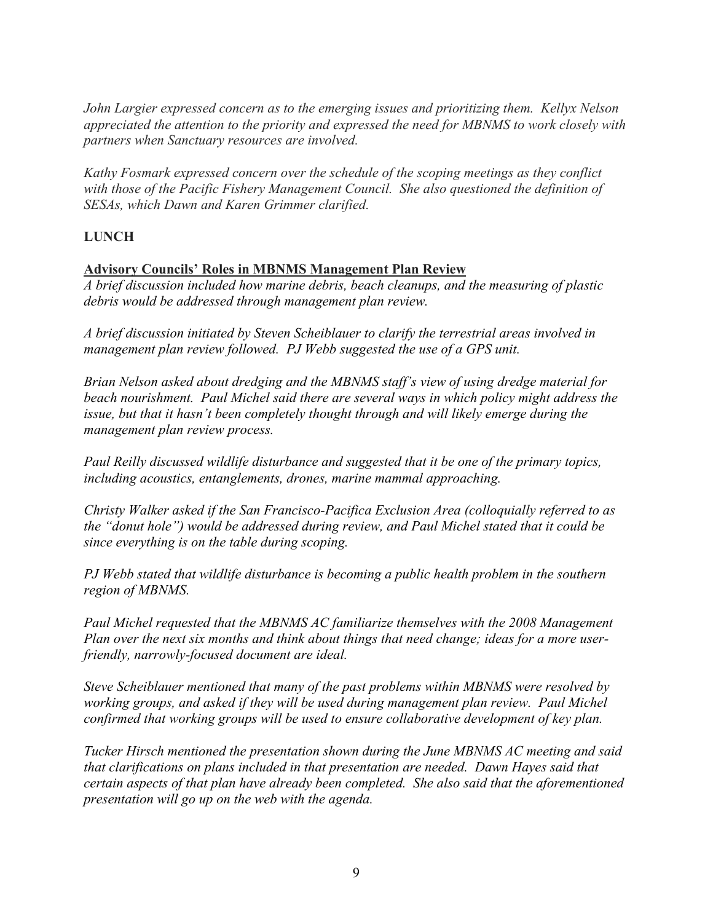*John Largier expressed concern as to the emerging issues and prioritizing them. Kellyx Nelson appreciated the attention to the priority and expressed the need for MBNMS to work closely with partners when Sanctuary resources are involved.*

*Kathy Fosmark expressed concern over the schedule of the scoping meetings as they conflict with those of the Pacific Fishery Management Council. She also questioned the definition of SESAs, which Dawn and Karen Grimmer clarified.*

# **LUNCH**

### **Advisory Councils' Roles in MBNMS Management Plan Review**

*A brief discussion included how marine debris, beach cleanups, and the measuring of plastic debris would be addressed through management plan review.*

*A brief discussion initiated by Steven Scheiblauer to clarify the terrestrial areas involved in management plan review followed. PJ Webb suggested the use of a GPS unit.*

*Brian Nelson asked about dredging and the MBNMS staff's view of using dredge material for beach nourishment. Paul Michel said there are several ways in which policy might address the issue, but that it hasn't been completely thought through and will likely emerge during the management plan review process.*

*Paul Reilly discussed wildlife disturbance and suggested that it be one of the primary topics, including acoustics, entanglements, drones, marine mammal approaching.*

*Christy Walker asked if the San Francisco-Pacifica Exclusion Area (colloquially referred to as the "donut hole") would be addressed during review, and Paul Michel stated that it could be since everything is on the table during scoping.*

*PJ Webb stated that wildlife disturbance is becoming a public health problem in the southern region of MBNMS.*

*Paul Michel requested that the MBNMS AC familiarize themselves with the 2008 Management Plan over the next six months and think about things that need change; ideas for a more userfriendly, narrowly-focused document are ideal.* 

*Steve Scheiblauer mentioned that many of the past problems within MBNMS were resolved by working groups, and asked if they will be used during management plan review. Paul Michel confirmed that working groups will be used to ensure collaborative development of key plan.*

*Tucker Hirsch mentioned the presentation shown during the June MBNMS AC meeting and said that clarifications on plans included in that presentation are needed. Dawn Hayes said that certain aspects of that plan have already been completed. She also said that the aforementioned presentation will go up on the web with the agenda.*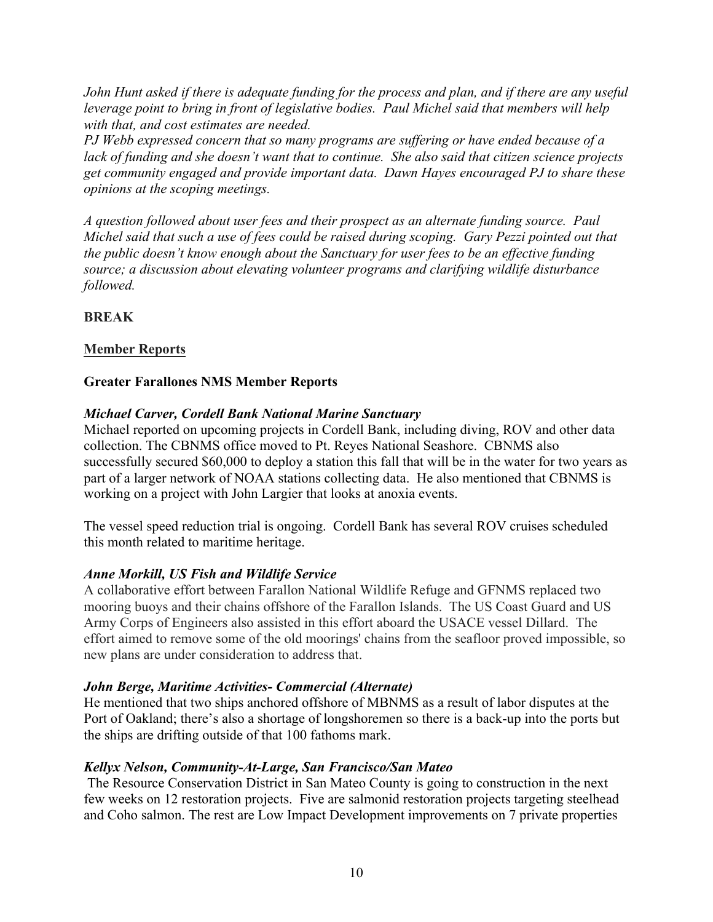*John Hunt asked if there is adequate funding for the process and plan, and if there are any useful leverage point to bring in front of legislative bodies. Paul Michel said that members will help with that, and cost estimates are needed.*

*PJ Webb expressed concern that so many programs are suffering or have ended because of a lack of funding and she doesn't want that to continue. She also said that citizen science projects get community engaged and provide important data. Dawn Hayes encouraged PJ to share these opinions at the scoping meetings.*

*A question followed about user fees and their prospect as an alternate funding source. Paul Michel said that such a use of fees could be raised during scoping. Gary Pezzi pointed out that the public doesn't know enough about the Sanctuary for user fees to be an effective funding source; a discussion about elevating volunteer programs and clarifying wildlife disturbance followed.*

# **BREAK**

## **Member Reports**

## **Greater Farallones NMS Member Reports**

### *Michael Carver, Cordell Bank National Marine Sanctuary*

Michael reported on upcoming projects in Cordell Bank, including diving, ROV and other data collection. The CBNMS office moved to Pt. Reyes National Seashore. CBNMS also successfully secured \$60,000 to deploy a station this fall that will be in the water for two years as part of a larger network of NOAA stations collecting data. He also mentioned that CBNMS is working on a project with John Largier that looks at anoxia events.

The vessel speed reduction trial is ongoing. Cordell Bank has several ROV cruises scheduled this month related to maritime heritage.

### *Anne Morkill, US Fish and Wildlife Service*

A collaborative effort between Farallon National Wildlife Refuge and GFNMS replaced two mooring buoys and their chains offshore of the Farallon Islands. The US Coast Guard and US Army Corps of Engineers also assisted in this effort aboard the USACE vessel Dillard. The effort aimed to remove some of the old moorings' chains from the seafloor proved impossible, so new plans are under consideration to address that.

## *John Berge, Maritime Activities- Commercial (Alternate)*

He mentioned that two ships anchored offshore of MBNMS as a result of labor disputes at the Port of Oakland; there's also a shortage of longshoremen so there is a back-up into the ports but the ships are drifting outside of that 100 fathoms mark.

### *Kellyx Nelson, Community-At-Large, San Francisco/San Mateo*

The Resource Conservation District in San Mateo County is going to construction in the next few weeks on 12 restoration projects. Five are salmonid restoration projects targeting steelhead and Coho salmon. The rest are Low Impact Development improvements on 7 private properties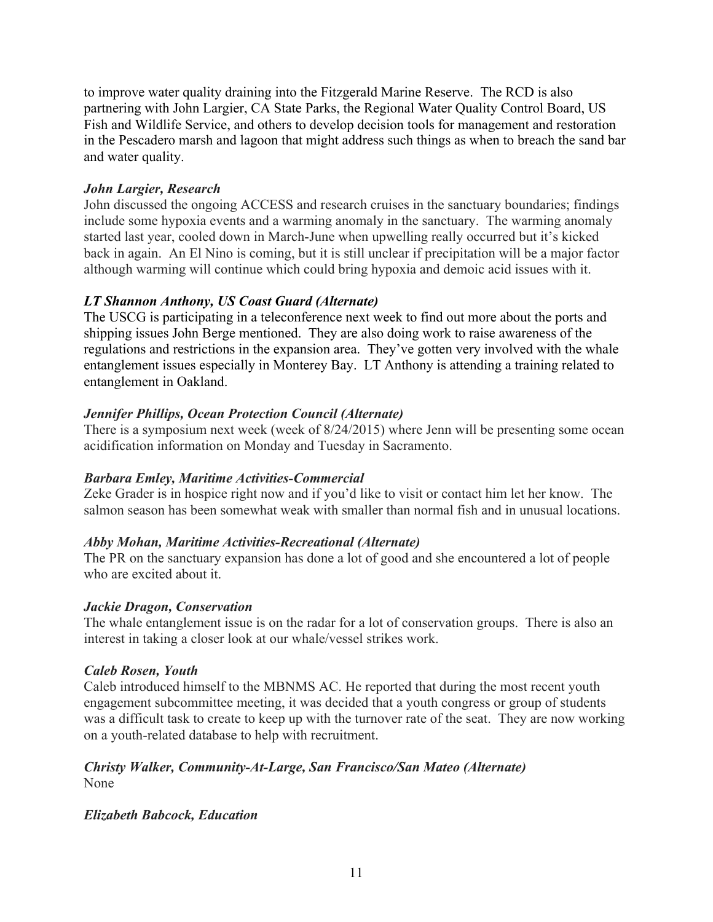to improve water quality draining into the Fitzgerald Marine Reserve. The RCD is also partnering with John Largier, CA State Parks, the Regional Water Quality Control Board, US Fish and Wildlife Service, and others to develop decision tools for management and restoration in the Pescadero marsh and lagoon that might address such things as when to breach the sand bar and water quality.

# *John Largier, Research*

John discussed the ongoing ACCESS and research cruises in the sanctuary boundaries; findings include some hypoxia events and a warming anomaly in the sanctuary. The warming anomaly started last year, cooled down in March-June when upwelling really occurred but it's kicked back in again. An El Nino is coming, but it is still unclear if precipitation will be a major factor although warming will continue which could bring hypoxia and demoic acid issues with it.

# *LT Shannon Anthony, US Coast Guard (Alternate)*

The USCG is participating in a teleconference next week to find out more about the ports and shipping issues John Berge mentioned. They are also doing work to raise awareness of the regulations and restrictions in the expansion area. They've gotten very involved with the whale entanglement issues especially in Monterey Bay. LT Anthony is attending a training related to entanglement in Oakland.

# *Jennifer Phillips, Ocean Protection Council (Alternate)*

There is a symposium next week (week of 8/24/2015) where Jenn will be presenting some ocean acidification information on Monday and Tuesday in Sacramento.

# *Barbara Emley, Maritime Activities-Commercial*

Zeke Grader is in hospice right now and if you'd like to visit or contact him let her know. The salmon season has been somewhat weak with smaller than normal fish and in unusual locations.

## *Abby Mohan, Maritime Activities-Recreational (Alternate)*

The PR on the sanctuary expansion has done a lot of good and she encountered a lot of people who are excited about it.

## *Jackie Dragon, Conservation*

The whale entanglement issue is on the radar for a lot of conservation groups. There is also an interest in taking a closer look at our whale/vessel strikes work.

## *Caleb Rosen, Youth*

Caleb introduced himself to the MBNMS AC. He reported that during the most recent youth engagement subcommittee meeting, it was decided that a youth congress or group of students was a difficult task to create to keep up with the turnover rate of the seat. They are now working on a youth-related database to help with recruitment.

#### *Christy Walker, Community-At-Large, San Francisco/San Mateo (Alternate)* None

## *Elizabeth Babcock, Education*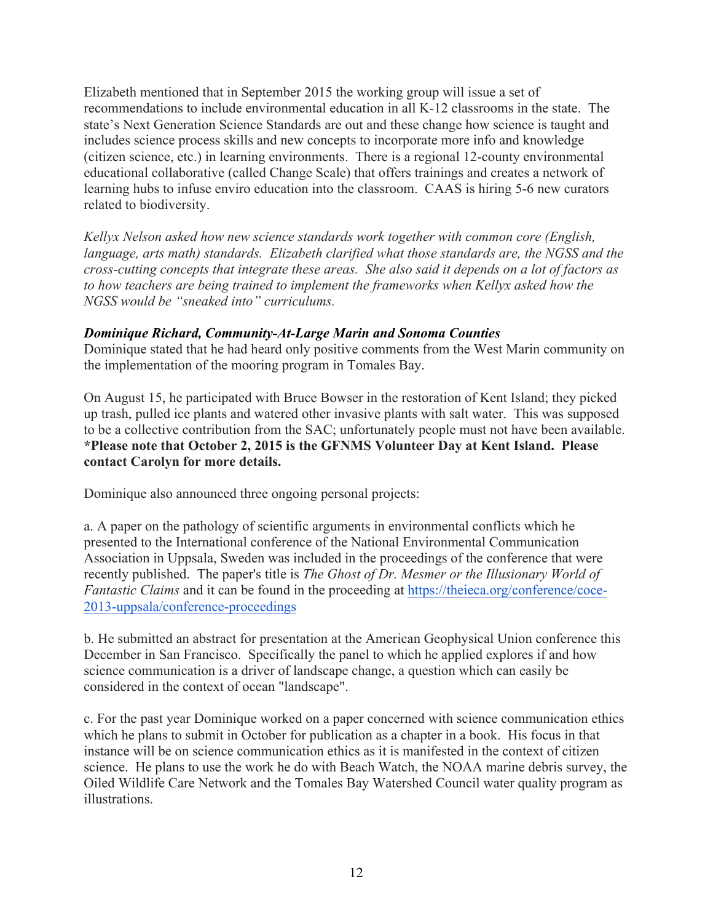Elizabeth mentioned that in September 2015 the working group will issue a set of recommendations to include environmental education in all K-12 classrooms in the state. The state's Next Generation Science Standards are out and these change how science is taught and includes science process skills and new concepts to incorporate more info and knowledge (citizen science, etc.) in learning environments. There is a regional 12-county environmental educational collaborative (called Change Scale) that offers trainings and creates a network of learning hubs to infuse enviro education into the classroom. CAAS is hiring 5-6 new curators related to biodiversity.

*Kellyx Nelson asked how new science standards work together with common core (English, language, arts math) standards. Elizabeth clarified what those standards are, the NGSS and the cross-cutting concepts that integrate these areas. She also said it depends on a lot of factors as to how teachers are being trained to implement the frameworks when Kellyx asked how the NGSS would be "sneaked into" curriculums.*

## *Dominique Richard, Community-At-Large Marin and Sonoma Counties*

Dominique stated that he had heard only positive comments from the West Marin community on the implementation of the mooring program in Tomales Bay.

On August 15, he participated with Bruce Bowser in the restoration of Kent Island; they picked up trash, pulled ice plants and watered other invasive plants with salt water. This was supposed to be a collective contribution from the SAC; unfortunately people must not have been available. **\*Please note that October 2, 2015 is the GFNMS Volunteer Day at Kent Island. Please contact Carolyn for more details.**

Dominique also announced three ongoing personal projects:

a. A paper on the pathology of scientific arguments in environmental conflicts which he presented to the International conference of the National Environmental Communication Association in Uppsala, Sweden was included in the proceedings of the conference that were recently published. The paper's title is *The Ghost of Dr. Mesmer or the Illusionary World of Fantastic Claims* and it can be found in the proceeding at https://theieca.org/conference/coce-2013-uppsala/conference-proceedings

b. He submitted an abstract for presentation at the American Geophysical Union conference this December in San Francisco. Specifically the panel to which he applied explores if and how science communication is a driver of landscape change, a question which can easily be considered in the context of ocean "landscape".

c. For the past year Dominique worked on a paper concerned with science communication ethics which he plans to submit in October for publication as a chapter in a book. His focus in that instance will be on science communication ethics as it is manifested in the context of citizen science. He plans to use the work he do with Beach Watch, the NOAA marine debris survey, the Oiled Wildlife Care Network and the Tomales Bay Watershed Council water quality program as illustrations.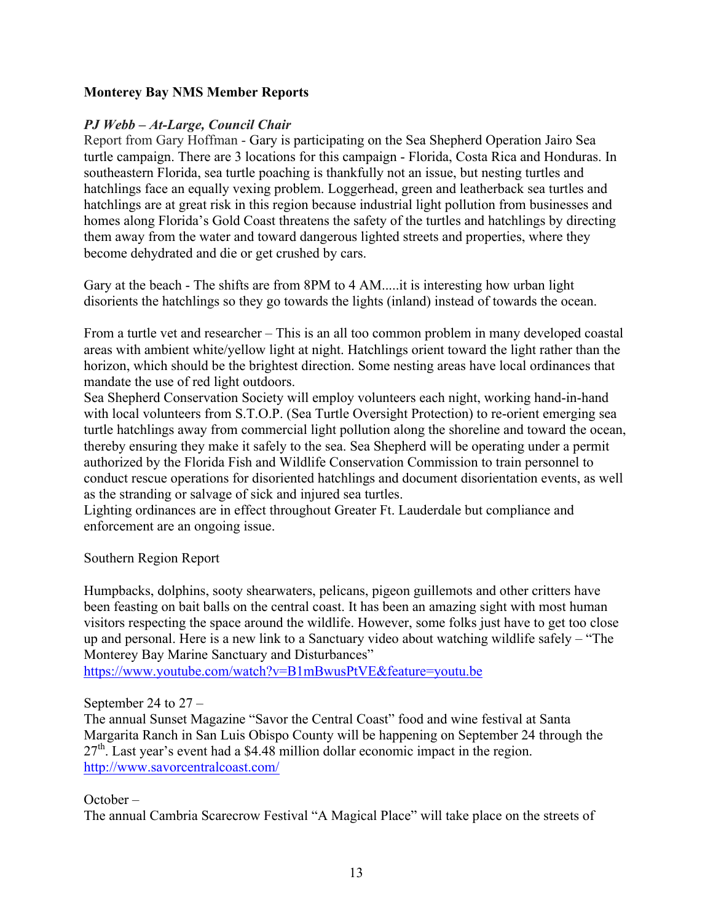### **Monterey Bay NMS Member Reports**

### *PJ Webb – At-Large, Council Chair*

Report from Gary Hoffman - Gary is participating on the Sea Shepherd Operation Jairo Sea turtle campaign. There are 3 locations for this campaign - Florida, Costa Rica and Honduras. In southeastern Florida, sea turtle poaching is thankfully not an issue, but nesting turtles and hatchlings face an equally vexing problem. Loggerhead, green and leatherback sea turtles and hatchlings are at great risk in this region because industrial light pollution from businesses and homes along Florida's Gold Coast threatens the safety of the turtles and hatchlings by directing them away from the water and toward dangerous lighted streets and properties, where they become dehydrated and die or get crushed by cars.

Gary at the beach - The shifts are from 8PM to 4 AM.....it is interesting how urban light disorients the hatchlings so they go towards the lights (inland) instead of towards the ocean.

From a turtle vet and researcher – This is an all too common problem in many developed coastal areas with ambient white/yellow light at night. Hatchlings orient toward the light rather than the horizon, which should be the brightest direction. Some nesting areas have local ordinances that mandate the use of red light outdoors.

Sea Shepherd Conservation Society will employ volunteers each night, working hand-in-hand with local volunteers from S.T.O.P. (Sea Turtle Oversight Protection) to re-orient emerging sea turtle hatchlings away from commercial light pollution along the shoreline and toward the ocean, thereby ensuring they make it safely to the sea. Sea Shepherd will be operating under a permit authorized by the Florida Fish and Wildlife Conservation Commission to train personnel to conduct rescue operations for disoriented hatchlings and document disorientation events, as well as the stranding or salvage of sick and injured sea turtles.

Lighting ordinances are in effect throughout Greater Ft. Lauderdale but compliance and enforcement are an ongoing issue.

Southern Region Report

Humpbacks, dolphins, sooty shearwaters, pelicans, pigeon guillemots and other critters have been feasting on bait balls on the central coast. It has been an amazing sight with most human visitors respecting the space around the wildlife. However, some folks just have to get too close up and personal. Here is a new link to a Sanctuary video about watching wildlife safely – "The Monterey Bay Marine Sanctuary and Disturbances"

https://www.youtube.com/watch?v=B1mBwusPtVE&feature=youtu.be

September 24 to 27 –

The annual Sunset Magazine "Savor the Central Coast" food and wine festival at Santa Margarita Ranch in San Luis Obispo County will be happening on September 24 through the  $27<sup>th</sup>$ . Last year's event had a \$4.48 million dollar economic impact in the region. http://www.savorcentralcoast.com/

October –

The annual Cambria Scarecrow Festival "A Magical Place" will take place on the streets of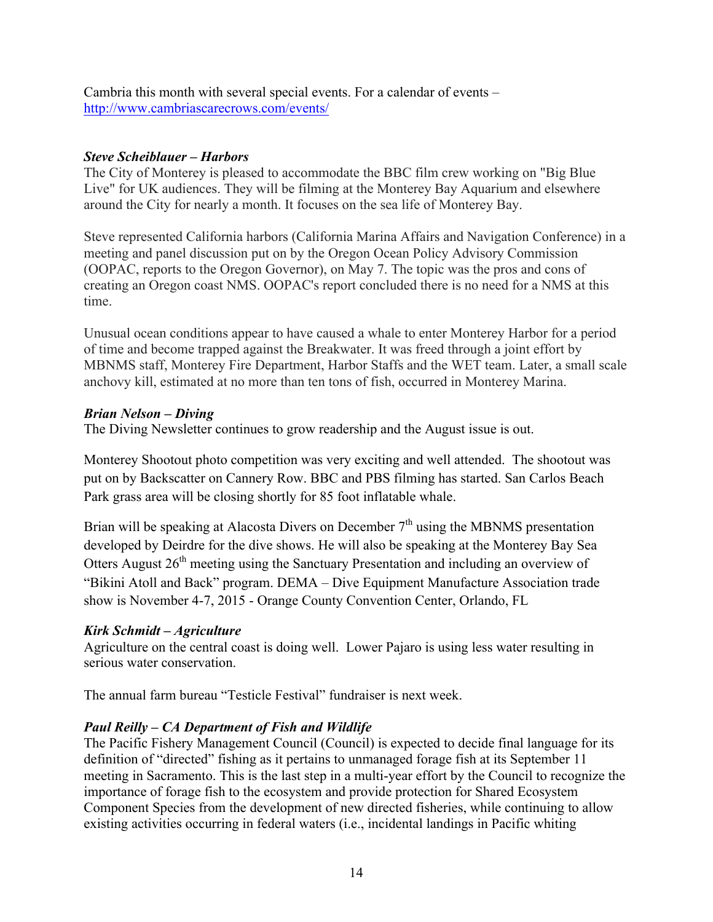Cambria this month with several special events. For a calendar of events – http://www.cambriascarecrows.com/events/

## *Steve Scheiblauer – Harbors*

The City of Monterey is pleased to accommodate the BBC film crew working on "Big Blue Live" for UK audiences. They will be filming at the Monterey Bay Aquarium and elsewhere around the City for nearly a month. It focuses on the sea life of Monterey Bay.

Steve represented California harbors (California Marina Affairs and Navigation Conference) in a meeting and panel discussion put on by the Oregon Ocean Policy Advisory Commission (OOPAC, reports to the Oregon Governor), on May 7. The topic was the pros and cons of creating an Oregon coast NMS. OOPAC's report concluded there is no need for a NMS at this time.

Unusual ocean conditions appear to have caused a whale to enter Monterey Harbor for a period of time and become trapped against the Breakwater. It was freed through a joint effort by MBNMS staff, Monterey Fire Department, Harbor Staffs and the WET team. Later, a small scale anchovy kill, estimated at no more than ten tons of fish, occurred in Monterey Marina.

### *Brian Nelson – Diving*

The Diving Newsletter continues to grow readership and the August issue is out.

Monterey Shootout photo competition was very exciting and well attended. The shootout was put on by Backscatter on Cannery Row. BBC and PBS filming has started. San Carlos Beach Park grass area will be closing shortly for 85 foot inflatable whale.

Brian will be speaking at Alacosta Divers on December  $7<sup>th</sup>$  using the MBNMS presentation developed by Deirdre for the dive shows. He will also be speaking at the Monterey Bay Sea Otters August 26<sup>th</sup> meeting using the Sanctuary Presentation and including an overview of "Bikini Atoll and Back" program. DEMA – Dive Equipment Manufacture Association trade show is November 4-7, 2015 - Orange County Convention Center, Orlando, FL

## *Kirk Schmidt – Agriculture*

Agriculture on the central coast is doing well. Lower Pajaro is using less water resulting in serious water conservation.

The annual farm bureau "Testicle Festival" fundraiser is next week.

## *Paul Reilly – CA Department of Fish and Wildlife*

The Pacific Fishery Management Council (Council) is expected to decide final language for its definition of "directed" fishing as it pertains to unmanaged forage fish at its September 11 meeting in Sacramento. This is the last step in a multi-year effort by the Council to recognize the importance of forage fish to the ecosystem and provide protection for Shared Ecosystem Component Species from the development of new directed fisheries, while continuing to allow existing activities occurring in federal waters (i.e., incidental landings in Pacific whiting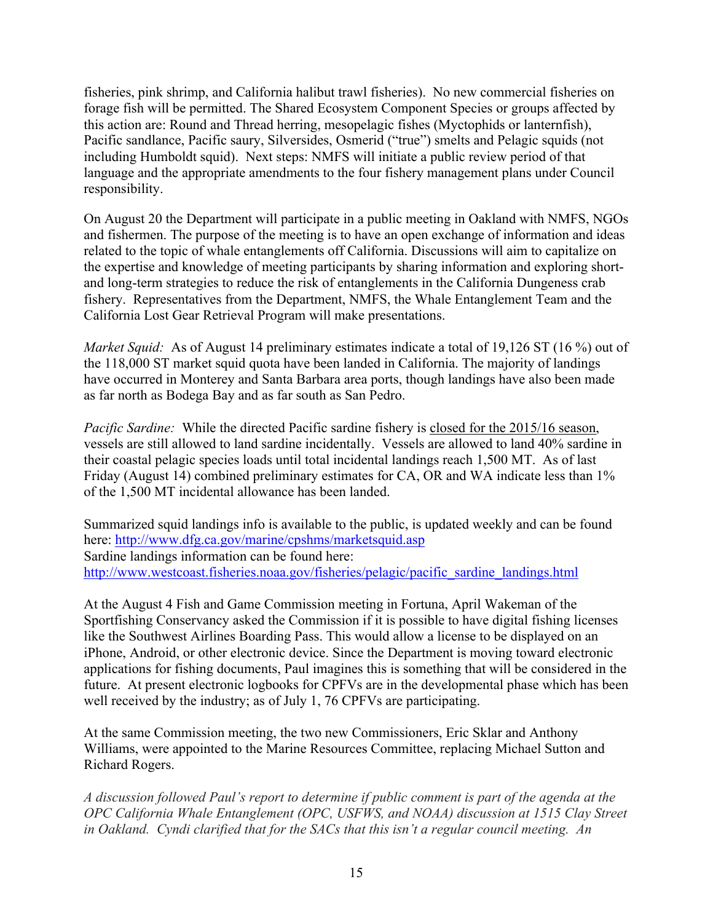fisheries, pink shrimp, and California halibut trawl fisheries). No new commercial fisheries on forage fish will be permitted. The Shared Ecosystem Component Species or groups affected by this action are: Round and Thread herring, mesopelagic fishes (Myctophids or lanternfish), Pacific sandlance, Pacific saury, Silversides, Osmerid ("true") smelts and Pelagic squids (not including Humboldt squid). Next steps: NMFS will initiate a public review period of that language and the appropriate amendments to the four fishery management plans under Council responsibility.

On August 20 the Department will participate in a public meeting in Oakland with NMFS, NGOs and fishermen. The purpose of the meeting is to have an open exchange of information and ideas related to the topic of whale entanglements off California. Discussions will aim to capitalize on the expertise and knowledge of meeting participants by sharing information and exploring shortand long-term strategies to reduce the risk of entanglements in the California Dungeness crab fishery. Representatives from the Department, NMFS, the Whale Entanglement Team and the California Lost Gear Retrieval Program will make presentations.

*Market Squid:* As of August 14 preliminary estimates indicate a total of 19,126 ST (16 %) out of the 118,000 ST market squid quota have been landed in California. The majority of landings have occurred in Monterey and Santa Barbara area ports, though landings have also been made as far north as Bodega Bay and as far south as San Pedro.

*Pacific Sardine:* While the directed Pacific sardine fishery is closed for the 2015/16 season, vessels are still allowed to land sardine incidentally. Vessels are allowed to land 40% sardine in their coastal pelagic species loads until total incidental landings reach 1,500 MT. As of last Friday (August 14) combined preliminary estimates for CA, OR and WA indicate less than 1% of the 1,500 MT incidental allowance has been landed.

Summarized squid landings info is available to the public, is updated weekly and can be found here: http://www.dfg.ca.gov/marine/cpshms/marketsquid.asp Sardine landings information can be found here: http://www.westcoast.fisheries.noaa.gov/fisheries/pelagic/pacific\_sardine\_landings.html

At the August 4 Fish and Game Commission meeting in Fortuna, April Wakeman of the Sportfishing Conservancy asked the Commission if it is possible to have digital fishing licenses like the Southwest Airlines Boarding Pass. This would allow a license to be displayed on an iPhone, Android, or other electronic device. Since the Department is moving toward electronic applications for fishing documents, Paul imagines this is something that will be considered in the future. At present electronic logbooks for CPFVs are in the developmental phase which has been well received by the industry; as of July 1, 76 CPFVs are participating.

At the same Commission meeting, the two new Commissioners, Eric Sklar and Anthony Williams, were appointed to the Marine Resources Committee, replacing Michael Sutton and Richard Rogers.

*A discussion followed Paul's report to determine if public comment is part of the agenda at the OPC California Whale Entanglement (OPC, USFWS, and NOAA) discussion at 1515 Clay Street in Oakland. Cyndi clarified that for the SACs that this isn't a regular council meeting. An*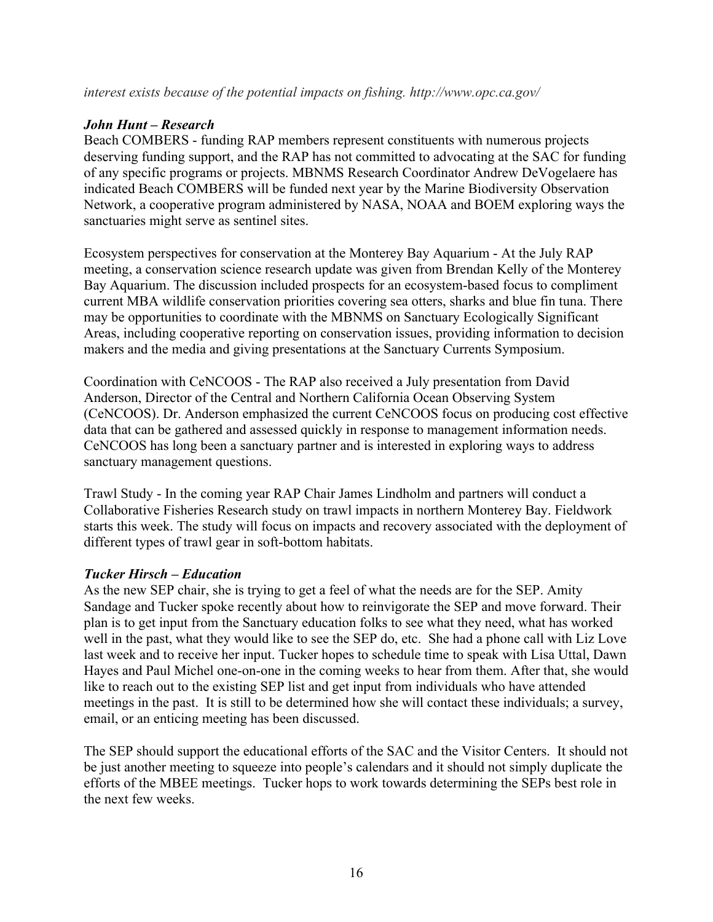# *John Hunt – Research*

Beach COMBERS - funding RAP members represent constituents with numerous projects deserving funding support, and the RAP has not committed to advocating at the SAC for funding of any specific programs or projects. MBNMS Research Coordinator Andrew DeVogelaere has indicated Beach COMBERS will be funded next year by the Marine Biodiversity Observation Network, a cooperative program administered by NASA, NOAA and BOEM exploring ways the sanctuaries might serve as sentinel sites.

Ecosystem perspectives for conservation at the Monterey Bay Aquarium - At the July RAP meeting, a conservation science research update was given from Brendan Kelly of the Monterey Bay Aquarium. The discussion included prospects for an ecosystem-based focus to compliment current MBA wildlife conservation priorities covering sea otters, sharks and blue fin tuna. There may be opportunities to coordinate with the MBNMS on Sanctuary Ecologically Significant Areas, including cooperative reporting on conservation issues, providing information to decision makers and the media and giving presentations at the Sanctuary Currents Symposium.

Coordination with CeNCOOS - The RAP also received a July presentation from David Anderson, Director of the Central and Northern California Ocean Observing System (CeNCOOS). Dr. Anderson emphasized the current CeNCOOS focus on producing cost effective data that can be gathered and assessed quickly in response to management information needs. CeNCOOS has long been a sanctuary partner and is interested in exploring ways to address sanctuary management questions.

Trawl Study - In the coming year RAP Chair James Lindholm and partners will conduct a Collaborative Fisheries Research study on trawl impacts in northern Monterey Bay. Fieldwork starts this week. The study will focus on impacts and recovery associated with the deployment of different types of trawl gear in soft-bottom habitats.

# *Tucker Hirsch – Education*

As the new SEP chair, she is trying to get a feel of what the needs are for the SEP. Amity Sandage and Tucker spoke recently about how to reinvigorate the SEP and move forward. Their plan is to get input from the Sanctuary education folks to see what they need, what has worked well in the past, what they would like to see the SEP do, etc. She had a phone call with Liz Love last week and to receive her input. Tucker hopes to schedule time to speak with Lisa Uttal, Dawn Hayes and Paul Michel one-on-one in the coming weeks to hear from them. After that, she would like to reach out to the existing SEP list and get input from individuals who have attended meetings in the past. It is still to be determined how she will contact these individuals; a survey, email, or an enticing meeting has been discussed.

The SEP should support the educational efforts of the SAC and the Visitor Centers. It should not be just another meeting to squeeze into people's calendars and it should not simply duplicate the efforts of the MBEE meetings. Tucker hops to work towards determining the SEPs best role in the next few weeks.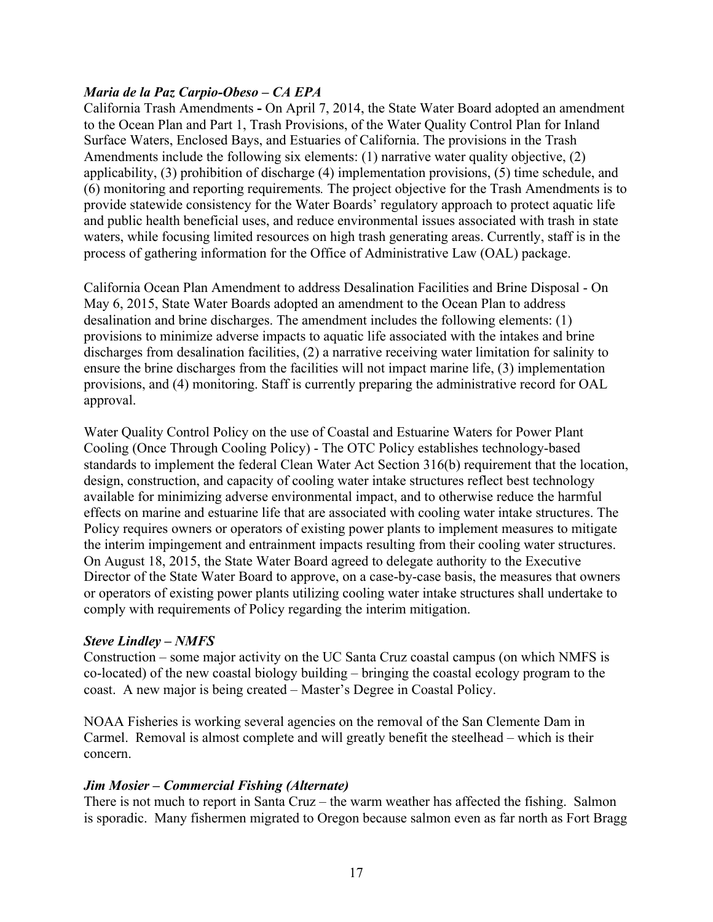### *Maria de la Paz Carpio-Obeso – CA EPA*

California Trash Amendments **-** On April 7, 2014, the State Water Board adopted an amendment to the Ocean Plan and Part 1, Trash Provisions, of the Water Quality Control Plan for Inland Surface Waters, Enclosed Bays, and Estuaries of California. The provisions in the Trash Amendments include the following six elements: (1) narrative water quality objective, (2) applicability, (3) prohibition of discharge (4) implementation provisions, (5) time schedule, and (6) monitoring and reporting requirements*.* The project objective for the Trash Amendments is to provide statewide consistency for the Water Boards' regulatory approach to protect aquatic life and public health beneficial uses, and reduce environmental issues associated with trash in state waters, while focusing limited resources on high trash generating areas. Currently, staff is in the process of gathering information for the Office of Administrative Law (OAL) package.

California Ocean Plan Amendment to address Desalination Facilities and Brine Disposal - On May 6, 2015, State Water Boards adopted an amendment to the Ocean Plan to address desalination and brine discharges. The amendment includes the following elements: (1) provisions to minimize adverse impacts to aquatic life associated with the intakes and brine discharges from desalination facilities, (2) a narrative receiving water limitation for salinity to ensure the brine discharges from the facilities will not impact marine life, (3) implementation provisions, and (4) monitoring. Staff is currently preparing the administrative record for OAL approval.

Water Quality Control Policy on the use of Coastal and Estuarine Waters for Power Plant Cooling (Once Through Cooling Policy) - The OTC Policy establishes technology-based standards to implement the federal Clean Water Act Section 316(b) requirement that the location, design, construction, and capacity of cooling water intake structures reflect best technology available for minimizing adverse environmental impact, and to otherwise reduce the harmful effects on marine and estuarine life that are associated with cooling water intake structures. The Policy requires owners or operators of existing power plants to implement measures to mitigate the interim impingement and entrainment impacts resulting from their cooling water structures. On August 18, 2015, the State Water Board agreed to delegate authority to the Executive Director of the State Water Board to approve, on a case-by-case basis, the measures that owners or operators of existing power plants utilizing cooling water intake structures shall undertake to comply with requirements of Policy regarding the interim mitigation.

### *Steve Lindley – NMFS*

Construction – some major activity on the UC Santa Cruz coastal campus (on which NMFS is co-located) of the new coastal biology building – bringing the coastal ecology program to the coast. A new major is being created – Master's Degree in Coastal Policy.

NOAA Fisheries is working several agencies on the removal of the San Clemente Dam in Carmel. Removal is almost complete and will greatly benefit the steelhead – which is their concern.

## *Jim Mosier – Commercial Fishing (Alternate)*

There is not much to report in Santa Cruz – the warm weather has affected the fishing. Salmon is sporadic. Many fishermen migrated to Oregon because salmon even as far north as Fort Bragg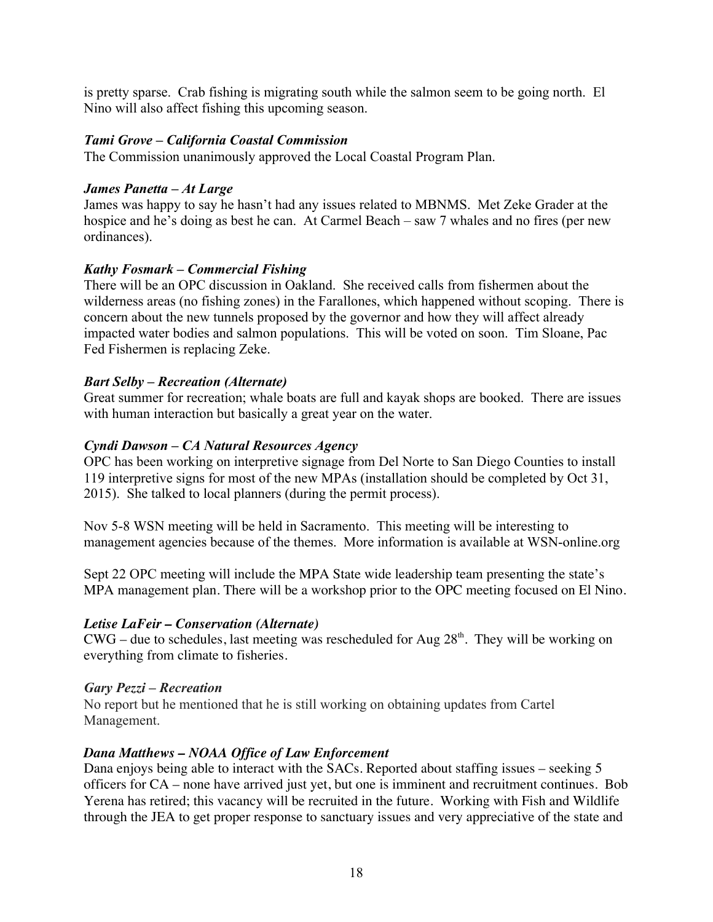is pretty sparse. Crab fishing is migrating south while the salmon seem to be going north. El Nino will also affect fishing this upcoming season.

### *Tami Grove – California Coastal Commission*

The Commission unanimously approved the Local Coastal Program Plan.

### *James Panetta – At Large*

James was happy to say he hasn't had any issues related to MBNMS. Met Zeke Grader at the hospice and he's doing as best he can. At Carmel Beach – saw 7 whales and no fires (per new ordinances).

### *Kathy Fosmark – Commercial Fishing*

There will be an OPC discussion in Oakland. She received calls from fishermen about the wilderness areas (no fishing zones) in the Farallones, which happened without scoping. There is concern about the new tunnels proposed by the governor and how they will affect already impacted water bodies and salmon populations. This will be voted on soon. Tim Sloane, Pac Fed Fishermen is replacing Zeke.

### *Bart Selby – Recreation (Alternate)*

Great summer for recreation; whale boats are full and kayak shops are booked. There are issues with human interaction but basically a great year on the water.

### *Cyndi Dawson – CA Natural Resources Agency*

OPC has been working on interpretive signage from Del Norte to San Diego Counties to install 119 interpretive signs for most of the new MPAs (installation should be completed by Oct 31, 2015). She talked to local planners (during the permit process).

Nov 5-8 WSN meeting will be held in Sacramento. This meeting will be interesting to management agencies because of the themes. More information is available at WSN-online.org

Sept 22 OPC meeting will include the MPA State wide leadership team presenting the state's MPA management plan. There will be a workshop prior to the OPC meeting focused on El Nino.

### *Letise LaFeir – Conservation (Alternate)*

 $CWG$  – due to schedules, last meeting was rescheduled for Aug  $28<sup>th</sup>$ . They will be working on everything from climate to fisheries.

### *Gary Pezzi – Recreation*

No report but he mentioned that he is still working on obtaining updates from Cartel Management.

### *Dana Matthews – NOAA Office of Law Enforcement*

Dana enjoys being able to interact with the SACs. Reported about staffing issues – seeking 5 officers for CA – none have arrived just yet, but one is imminent and recruitment continues. Bob Yerena has retired; this vacancy will be recruited in the future. Working with Fish and Wildlife through the JEA to get proper response to sanctuary issues and very appreciative of the state and